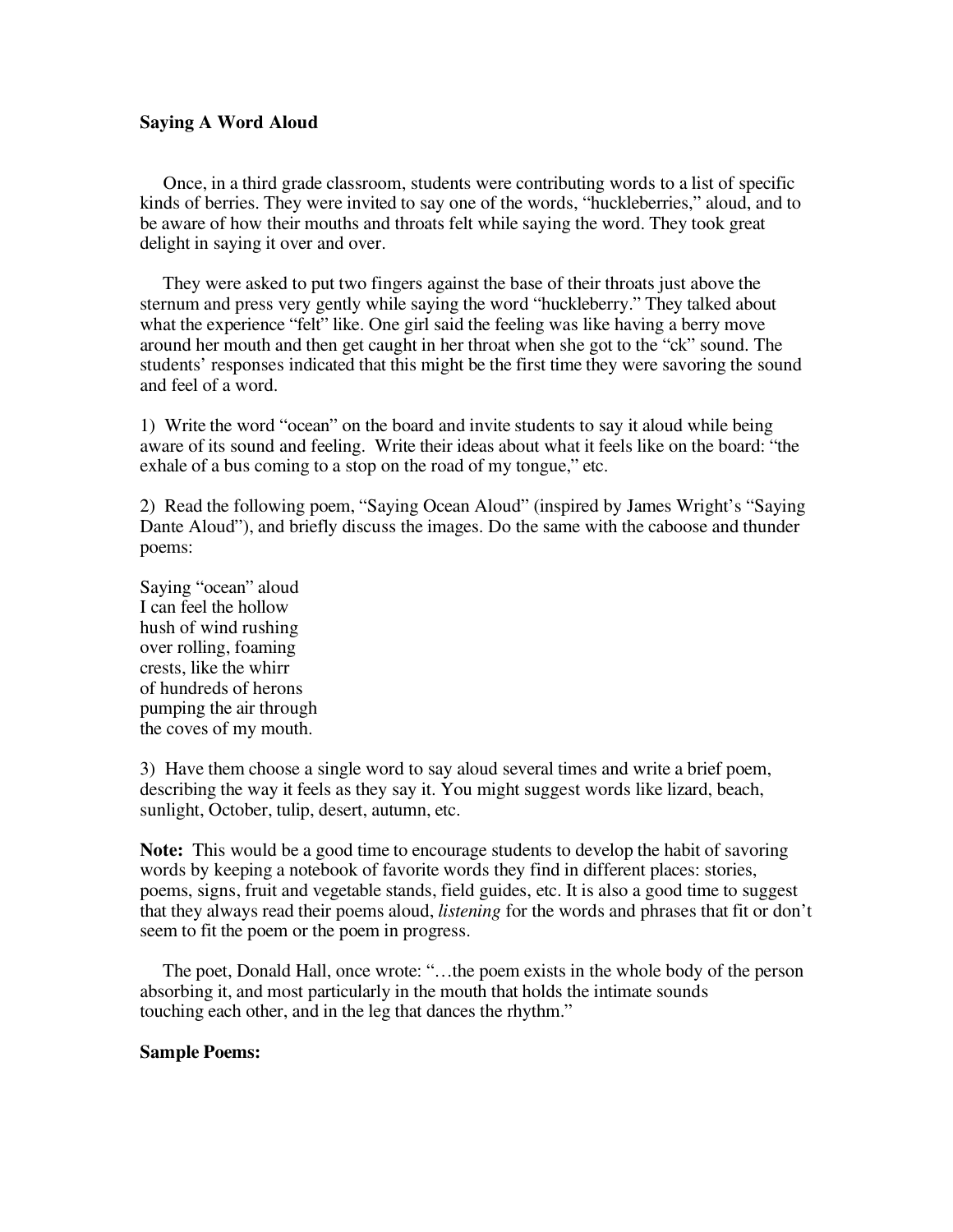## **Saying A Word Aloud**

Once, in a third grade classroom, students were contributing words to a list of specific kinds of berries. They were invited to say one of the words, "huckleberries," aloud, and to be aware of how their mouths and throats felt while saying the word. They took great delight in saying it over and over.

They were asked to put two fingers against the base of their throats just above the sternum and press very gently while saying the word "huckleberry." They talked about what the experience "felt" like. One girl said the feeling was like having a berry move around her mouth and then get caught in her throat when she got to the "ck" sound. The students' responses indicated that this might be the first time they were savoring the sound and feel of a word.

1) Write the word "ocean" on the board and invite students to say it aloud while being aware of its sound and feeling. Write their ideas about what it feels like on the board: "the exhale of a bus coming to a stop on the road of my tongue," etc.

2) Read the following poem, "Saying Ocean Aloud" (inspired by James Wright's "Saying Dante Aloud"), and briefly discuss the images. Do the same with the caboose and thunder poems:

Saying "ocean" aloud I can feel the hollow hush of wind rushing over rolling, foaming crests, like the whirr of hundreds of herons pumping the air through the coves of my mouth.

3) Have them choose a single word to say aloud several times and write a brief poem, describing the way it feels as they say it. You might suggest words like lizard, beach, sunlight, October, tulip, desert, autumn, etc.

**Note:** This would be a good time to encourage students to develop the habit of savoring words by keeping a notebook of favorite words they find in different places: stories, poems, signs, fruit and vegetable stands, field guides, etc. It is also a good time to suggest that they always read their poems aloud, *listening* for the words and phrases that fit or don't seem to fit the poem or the poem in progress.

The poet, Donald Hall, once wrote: "…the poem exists in the whole body of the person absorbing it, and most particularly in the mouth that holds the intimate sounds touching each other, and in the leg that dances the rhythm."

## **Sample Poems:**